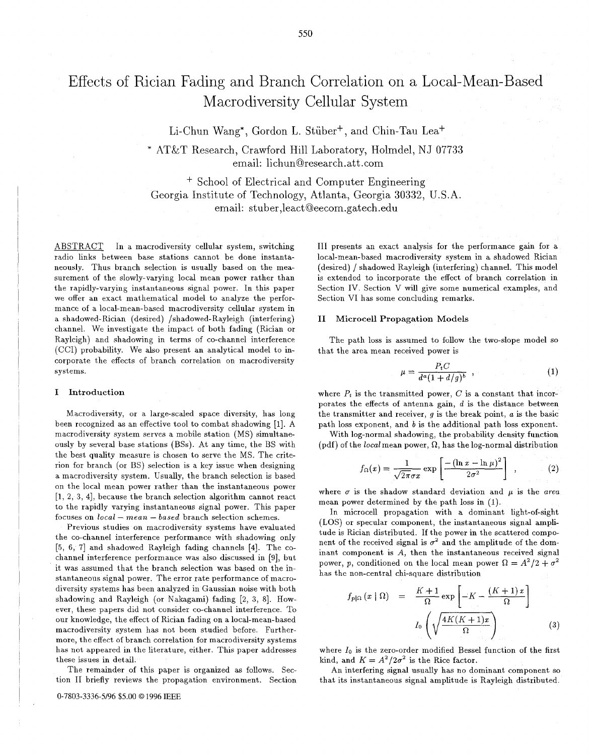Li-Chun Wang\*, Gordon L. Stüber<sup>+</sup>, and Chin-Tau Lea<sup>+</sup>

\* AT&T Research, Crawford Hill Laboratory, Holmdel, NJ 07733 email: 1ichunQresearch.att .com

+ School of Electrical and Computer Engineering Georgia Institute of Technology, Atlanta, Georgia 30332, U.S.A. email: st uber ,leact Qeecom .gat ech. edu

ABSTRACT In a macrodiversity cellular system, switching radio links between base stations cannot be done instantaneously. Thus branch selection is usually based on the measurement of the slowly-varying local mean power rather than the rapidly-varying instantaneous signal power. In this paper we offer an exact mathematical model to analyze the performance of a local-mean-based macrodiversity cellular system in a shadowed-Rician (desired) /shadowed-Rayleigh (interfering) channel. We investigate the impact of both fading (Rician or Rayleigh) and shadowing in terms of co-channel interference (CCI) probability. We also present an analytical model to incorporate the effects of branch correlation on macrodiversity systems.

#### **I Introduction**

Macrodiversity, or a large-scaled space diversity, has long been recognized as an effective tool to combat shadowing [I]. A macrodiversity system serves a mobile station (MS) simultaneously by several base stations (BSs). At any time, the BS with the best quality measure is chosen to serve the MS. The criterion for branch (or BS) selection is a key issue when designing a macrodiversity system. Usually, the branch selection is based on the local mean power rather than the instantaneous power [1, *2, 3,* 41, because the branch selection algorithm cannot react to the rapidly varying instantaneous signal power. This paper focuses on *local* - *mean* - *based* branch selection schemes.

Previous studies on macrodiversity systems have evaluated the co-channel interference performance with shadowing only *[5,* 6, 71 and shadowed Rayleigh fading channels **[4].** The cochannel interference performance was also discussed in **[9],** but it was assumed that the branch selection was based on the instantaneous signal power. The error rate performance of macrodiversity systems has been analyzed in Gaussian noise with both shadowing and Rayleigh (or Nakagami) fading *[2, 3,* 81. However, these papers did not consider co-channel interference. To our knowledge, the effect of Rician fading on a local-mean-based macrodiversity system has not been studied before. Furthermore, the effect of branch correlation for macrodiversity systems has not appeared in the literature, either. This paper addresses these issues in detail.

The remainder of this paper is organized as follows. Section I1 briefly reviews the propagation environment. Section I11 presents an exact analysis for the performance gain for a local-mean-based macrodiversity system in a shadowed Rician (desired) / shadowed Rayleigh (interfering) channel. This model is extended to incorporate the effect of branch correlation in Section IV. Section V will give some numerical examples, and Section VI has some concluding remarks.

## **I1 Microcell Propagation Models**

The path loss is assumed to follow the two-slope model *so*  that the area mean received power is

$$
\mu = \frac{P_t C}{d^a (1 + d/g)^b} \t{1}
$$

where  $P_t$  is the transmitted power,  $C$  is a constant that incorporates the effects of antenna gain,  $d$  is the distance between the transmitter and receiver, g is the break point, *a* is the basic path loss exponent, and *b* is the additional path loss exponent.

With log-normal shadowing, the probability density function (pdf) of the *local* mean power,  $\Omega$ , has the log-normal distribution

$$
f_{\Omega}(x) = \frac{1}{\sqrt{2\pi}\sigma x} \exp\left[\frac{-(\ln x - \ln \mu)^2}{2\sigma^2}\right] \quad , \tag{2}
$$

where  $\sigma$  is the shadow standard deviation and  $\mu$  is the *area* mean power determined by the path loss in (1).

In microcell propagation with a dominant light-of-sight (LOS) or specular component, the instantaneous signal amplitude is Rician distributed. If the power in the scattered component of the received signal is  $\sigma^2$  and the amplitude of the dominant component is *A,* then the instantaneous received signal power, *p*, conditioned on the local mean power  $\Omega = A^2/2 + \sigma^2$ has the non-central chi-square distribution

$$
f_{p|_{\Omega}}(x | \Omega) = \frac{K+1}{\Omega} \exp\left[-K - \frac{(K+1)x}{\Omega}\right]
$$

$$
I_0\left(\sqrt{\frac{4K(K+1)x}{\Omega}}\right)
$$
(3)

where *lo* is the zero-order modified Bessel function of the first kind, and  $K = A^2/2\sigma^2$  is the Rice factor.

An interfering signal usually has no dominant component *so*  that its instantaneous signal amplitude is Rayleigh distributed.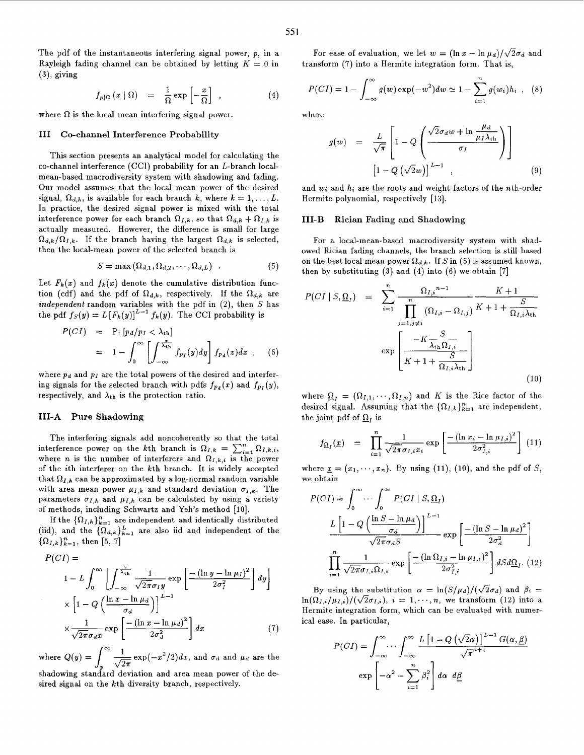The pdf of the instantaneous interfering signal power, *p,* in a Rayleigh fading channel can be obtained by letting  $K = 0$  in *(3),* giving

$$
f_{p|\Omega}(x \mid \Omega) = \frac{1}{\Omega} \exp\left[-\frac{x}{\Omega}\right], \qquad (4)
$$

where  $\Omega$  is the local mean interfering signal power.

# I11 CO-channel Interference Probability

This section presents an analytical model for calculating the co-channel interference (CCI) probability for an L-branch localmean-based macrodiversity system with shadowing and fading. Our model assumes that the local mean power of the desired signal,  $\Omega_{d,k}$ , is available for each branch *k*, where  $k = 1, \ldots, L$ . In practice, the desired signal power is mixed with the total interference power for each branch  $\Omega_{I,k}$ , so that  $\Omega_{d,k} + \Omega_{I,k}$  is actually measured. However, the difference is small for large  $\Omega_{d,k}/\Omega_{I,k}$ . If the branch having the largest  $\Omega_{d,k}$  is selected, then the local-mean power of the selected branch is

$$
S = \max(\Omega_{d,1}, \Omega_{d,2}, \cdots, \Omega_{d,L})
$$
 (5)

Let  $F_k(x)$  and  $f_k(x)$  denote the cumulative distribution function (cdf) and the pdf of  $\Omega_{d,k}$ , respectively. If the  $\Omega_{d,k}$  are independent random variables with the pdf in **(2),** then S has the pdf  $f_S(y) = L[F_k(y)]^{L-1} f_k(y)$ . The CCI probability is

$$
P(CI) = P_r[p_d/p_I < \lambda_{th}]
$$
  
=  $1 - \int_0^\infty \left[ \int_{-\infty}^{\frac{x}{\lambda_{th}}} f_{p_I}(y) dy \right] f_{p_d}(x) dx$ , (6)

where  $p_d$  and  $p_l$  are the total powers of the desired and interfering signals for the selected branch with pdfs  $f_{p_d}(x)$  and  $f_{p_I}(y)$ , respectively, and  $\lambda_{th}$  is the protection ratio.

## 111-A Pure Shadowing

The interfering signals add noncoherently so that the total interference power on the kth branch is  $\Omega_{I,k} = \sum_{i=1}^{n} \Omega_{I,k,i}$ , where *n* is the number of interferers and  $\Omega_{I,k,i}$  is the power of the ith interferer on the kth branch. It is widely accepted that  $\Omega_{I,k}$  can be approximated by a log-normal random variable with area mean power  $\mu_{I,k}$  and standard deviation  $\sigma_{I,k}$ . The parameters  $\sigma_{I,k}$  and  $\mu_{I,k}$  can be calculated by using a variety of methods, including Schwartz and Yeh's method **[lo].** 

If the  ${\Omega_{I,k}}_{k=1}^n$  are independent and identically distributed (iid), and the  ${\Omega_{d,k}}_{k=1}^L$  are also iid and independent of the  ${\Omega_{I,k}}_{k=1}^n$ , then [5, .7]

$$
P(CI) =
$$
  
\n
$$
1 - L \int_0^{\infty} \left[ \int_{-\infty}^{\frac{x}{\lambda_{\text{th}}}} \frac{1}{\sqrt{2\pi}\sigma_I y} \exp\left[\frac{-(\ln y - \ln \mu_I)^2}{2\sigma_I^2}\right] dy \right]
$$
  
\n
$$
\times \left[1 - Q\left(\frac{\ln x - \ln \mu_d}{\sigma_d}\right)\right]^{L-1}
$$
  
\n
$$
\times \frac{1}{\sqrt{2\pi}\sigma_d x} \exp\left[\frac{-(\ln x - \ln \mu_d)^2}{2\sigma_d^2}\right] dx
$$
 (7)

where  $Q(y) = \int_{0}^{\infty} \frac{1}{\sqrt{2\pi}} \exp(-x^2/2) dx$ , and  $\sigma_d$  and  $\mu_d$  are the

shadowing standard deviation and area mean power of the desired signal on the kth diversity branch, respectively.

For ease of evaluation, we let  $w = (\ln x - \ln \mu_d)/\sqrt{2}\sigma_d$  and transform (7) into a Hermite integration form. That is,

$$
P(CI) = 1 - \int_{-\infty}^{\infty} g(w) \exp(-w^2) dw \simeq 1 - \sum_{i=1}^{n} g(w_i) h_i , \quad (8)
$$

where

$$
g(w) = \frac{L}{\sqrt{\pi}} \left[ 1 - Q \left( \frac{\sqrt{2} \sigma_d w + \ln \frac{\mu_d}{\mu_I \lambda_{\text{th}}}}{\sigma_I} \right) \right]
$$

$$
\left[ 1 - Q \left( \sqrt{2} w \right) \right]^{L-1} , \qquad (9)
$$

and  $w_i$  and  $h_i$  are the roots and weight factors of the *n*th-order Hermite polynomial, respectively [13].

### III-B Rician Fading and Shadowing

For a local-mean-based macrodiversity system with shadowed Rician fading channels, the branch selection is still based on the best local mean power  $\Omega_{d,k}$ . If S in (5) is assumed known, then by substituting *(3)* and **(4)** into **(6)** we obtain [7]

$$
P(CI \mid S, \underline{\Omega}_{I}) = \sum_{i=1}^{n} \frac{\Omega_{I,i}^{n-1}}{\prod_{j=1,j\neq i}^{n} (\Omega_{I,i} - \Omega_{I,j})} \frac{K+1}{K+1 + \frac{S}{\Omega_{I,i}\lambda_{th}}}
$$

$$
\exp\left[\frac{-K\frac{S}{\lambda_{th}\Omega_{I,i}}}{K+1 + \frac{S}{\Omega_{I,i}\lambda_{th}}}\right]
$$
(10)

where  $\Omega_I = (\Omega_{I,1}, \cdots, \Omega_{I,n})$  and *K* is the Rice factor of the desired signal. Assuming that the  ${\Omega_{I,k}}_{k=1}^n$  are independent, the joint pdf of  $\Omega_I$  is

$$
f_{\Omega_I}(\underline{x}) = \prod_{i=1}^n \frac{1}{\sqrt{2\pi}\sigma_{I,i}x_i} \exp\left[\frac{-(\ln x_i - \ln \mu_{I,i})^2}{2\sigma_{I,i}^2}\right] (11)
$$

where  $\underline{x} = (x_1, \dots, x_n)$ . By using (11), (10), and the pdf of *S*, we obtain

$$
P(CI) = \int_0^\infty \cdots \int_0^\infty P(CI \mid S, \underline{\Omega}_I)
$$

$$
\frac{L \left[ 1 - Q\left(\frac{\ln S - \ln \mu_d}{\sigma_d}\right) \right]^{L-1}}{\sqrt{2\pi} \sigma_d S} \exp\left[\frac{-(\ln S - \ln \mu_d)^2}{2\sigma_d^2}\right]
$$

$$
\prod_{i=1}^n \frac{1}{\sqrt{2\pi} \sigma_{I,i} \Omega_{I,i}} \exp\left[\frac{-(\ln \Omega_{I,i} - \ln \mu_{I,i})^2}{2\sigma_{I,i}^2}\right] dS d\underline{\Omega}_I. (12)
$$

By using the substitution  $\alpha = \ln(S/\mu_d)/(\sqrt{2}\sigma_d)$  and  $\beta_i =$  $\ln(\Omega_{I,i}/\mu_{I,i})/(\sqrt{2}\sigma_{I,i}), i = 1,\cdots,n$ , we transform (12) into a Hermite integration form, which can be evaluated with numerical ease. In particular,

$$
P(CI) = \int_{-\infty}^{\infty} \cdots \int_{-\infty}^{\infty} \frac{L\left[1 - Q\left(\sqrt{2}\alpha\right)\right]^{L-1} G(\alpha, \underline{\beta})}{\sqrt{\pi}^{n+1}}
$$

$$
\exp\left[-\alpha^2 - \sum_{i=1}^{n} \beta_i^2\right] d\alpha \ d\underline{\beta}
$$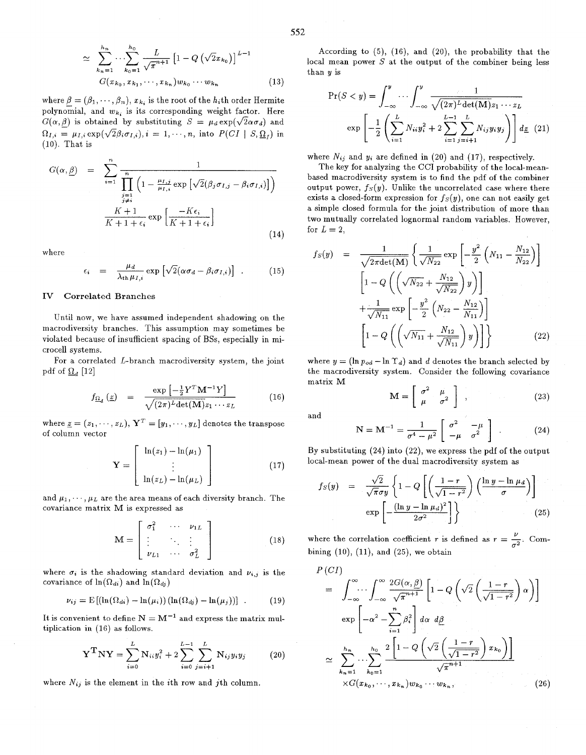$$
\simeq \sum_{k_n=1}^{h_n} \cdots \sum_{k_0=1}^{h_0} \frac{L}{\sqrt{\pi}^{n+1}} \left[ 1 - Q\left(\sqrt{2}x_{k_0}\right) \right]^{L-1}
$$
  

$$
G(x_{k_0}, x_{k_1}, \cdots, x_{k_n}) w_{k_0} \cdots w_{k_n}
$$
 (13)

where  $\beta = (\beta_1, \dots, \beta_n)$ ,  $x_{k_i}$  is the root of the  $h_i$ th order Hermite polynomial, and  $w_{k_i}$  is its corresponding weight factor. Here  $G(\alpha, \beta)$  is obtained by substituting  $S = \mu_d \exp(\sqrt{2\alpha \sigma_d})$  and  $\Omega_{I,i} = \mu_{I,i} \exp(\sqrt{2\beta_i \sigma_{I,i}}), i = 1, \cdots, n$ , into  $P(Cl \mid S, \Omega_I)$  in (10). That is

$$
G(\alpha, \underline{\beta}) = \sum_{i=1}^{n} \frac{1}{\prod_{\substack{j=1 \ j \neq i}}^{n} \left(1 - \frac{\mu_{I,j}}{\mu_{I,i}} \exp\left[\sqrt{2}(\beta_j \sigma_{I,j} - \beta_i \sigma_{I,i})\right]\right)}
$$

$$
\frac{K+1}{K+1+\epsilon_i} \exp\left[\frac{-K\epsilon_i}{K+1+\epsilon_i}\right]
$$
(14)

where

$$
\epsilon_i = \frac{\mu_d}{\lambda_{\text{th}} \mu_{I,i}} \exp \left[ \sqrt{2} (\alpha \sigma_d - \beta_i \sigma_{I,i}) \right] \ . \tag{15}
$$

#### **IV Correlated Branches**

Until now, we have assumed independent shadowing on the macrodiversity branches. This assumption may sometimes be violated because of insufficient spacing of BSs, especially in microcell systems.

For a correlated  $L$ -branch macrodiversity system, the joint pdf of  $\Omega_d$  [12]

$$
f_{\underline{\Omega}_d} \left( \underline{z} \right) = \frac{\exp \left[ -\frac{1}{2} Y^T \mathbf{M}^{-1} Y \right]}{\sqrt{(2\pi)^L \det(\mathbf{M})} z_1 \cdots z_L} \tag{16}
$$

where  $\underline{z} = (z_1, \cdots, z_L),$   $\mathbf{Y}^T = [y_1, \cdots, y_L]$  denotes the transpose of column vector

$$
\mathbf{Y} = \begin{bmatrix} \ln(z_1) - \ln(\mu_1) \\ \vdots \\ \ln(z_L) - \ln(\mu_L) \end{bmatrix}
$$
 (17)

and  $\mu_1, \dots, \mu_L$  are the area means of each diversity branch. The covariance matrix M is expressed as

$$
\mathbf{M} = \begin{bmatrix} \sigma_1^2 & \cdots & \nu_{1L} \\ \vdots & \ddots & \vdots \\ \nu_{L1} & \cdots & \sigma_L^2 \end{bmatrix}
$$
 (18)

where  $\sigma_i$  is the shadowing standard deviation and  $\nu_{i,j}$  is the covariance of  $\ln(\Omega_{di})$  and  $\ln(\Omega_{dj})$ 

$$
\nu_{ij} = \mathrm{E}\left[\left(\ln(\Omega_{di}) - \ln(\mu_i)\right)\left(\ln(\Omega_{dj}) - \ln(\mu_j)\right)\right] \ . \tag{19}
$$

It is convenient to define  $N = M^{-1}$  and express the matrix multiplication in (16) as follows.

$$
\mathbf{Y}^{\mathbf{T}} \mathbf{N} \mathbf{Y} = \sum_{i=0}^{L} \mathbf{N}_{ii} y_i^2 + 2 \sum_{i=0}^{L-1} \sum_{j=i+1}^{L} \mathbf{N}_{ij} y_i y_j \qquad (20)
$$

where  $N_{ij}$  is the element in the *i*th row and *j*th column.

According to (5), (16), and **(20),** the probability that the local mean power *S* at the output of the combiner being less than *y* is<br>  $Pr(S < y) = \int_{-\infty}^{y} \cdots \int_{-\infty}^{y} \frac{1}{\sqrt{(2\pi)^{L} \det(M)} z_1 \cdots z_L}$ than y is

$$
\Pr(S < y) = \int_{-\infty}^{y} \cdots \int_{-\infty}^{y} \frac{1}{\sqrt{(2\pi)^{L} \det(\mathbf{M}) z_1 \cdots z_L}}
$$
\n
$$
\exp\left[-\frac{1}{2} \left(\sum_{i=1}^{L} N_{ii} y_i^2 + 2 \sum_{i=1}^{L-1} \sum_{j=i+1}^{L} N_{ij} y_i y_j\right)\right] d\underline{z} \tag{21}
$$

where  $N_{ij}$  and  $y_i$  are defined in (20) and (17), respectively.

The key for analyzing the CCI probability of the local-meanbased macrodiversity system is to find the pdf of the combiner output power,  $f_S(y)$ . Unlike the uncorrelated case where there exists a closed-form expression for  $f_S(y)$ , one can not easily get a simple closed formula for the joint distribution of more than two mutually correlated lognormal random variables. However, for  $L = 2$ ,

$$
f_S(y) = \frac{1}{\sqrt{2\pi \det(M)}} \left\{ \frac{1}{\sqrt{N_{22}}} \exp\left[ -\frac{y^2}{2} \left( N_{11} - \frac{N_{12}}{N_{22}} \right) \right] \right\}
$$

$$
\left[ 1 - Q \left( \left( \sqrt{N_{22}} + \frac{N_{12}}{\sqrt{N_{22}}} \right) y \right) \right]
$$

$$
+ \frac{1}{\sqrt{N_{11}}} \exp\left[ -\frac{y^2}{2} \left( N_{22} - \frac{N_{12}}{N_{11}} \right) \right]
$$

$$
\left[ 1 - Q \left( \left( \sqrt{N_{11}} + \frac{N_{12}}{\sqrt{N_{11}}} \right) y \right) \right] \right\}
$$
(22)

where  $y = (\ln p_{od} - \ln \Upsilon_d)$  and *d* denotes the branch selected by the macrodiversity system. Consider the following covariance matrix M

$$
\mathbf{M} = \left[ \begin{array}{cc} \sigma^2 & \mu \\ \mu & \sigma^2 \end{array} \right] \quad , \tag{23}
$$

and

$$
\mathbf{N} = \mathbf{M}^{-1} = \frac{1}{\sigma^4 - \mu^2} \begin{bmatrix} \sigma^2 & -\mu \\ -\mu & \sigma^2 \end{bmatrix} .
$$
 (24)

By substituting **(24)** into *(22),* we express the pdf of the output local-mean power of the dual macrodiversity system as

$$
f_S(y) = \frac{\sqrt{2}}{\sqrt{\pi}\sigma y} \left\{ 1 - Q \left[ \left( \frac{1-r}{\sqrt{1-r^2}} \right) \left( \frac{\ln y - \ln \mu_d}{\sigma} \right) \right] \right\}
$$

$$
\exp \left[ - \frac{(\ln y - \ln \mu_d)^2}{2\sigma^2} \right] \right\}
$$
(25)

where the correlation coefficient *r* is defined as  $r = \frac{\nu}{\sigma^2}$ . Combining (10), (11), and (25), we obtain

$$
P(CI)
$$
\n
$$
= \int_{-\infty}^{\infty} \cdots \int_{-\infty}^{\infty} \frac{2G(\alpha, \beta)}{\sqrt{\pi^{n+1}}} \left[ 1 - Q\left(\sqrt{2}\left(\frac{1-r}{\sqrt{1-r^2}}\right) \alpha\right) \right]
$$
\n
$$
\exp\left[-\alpha^2 - \sum_{i=1}^{n} \beta_i^2\right] d\alpha \ d\beta
$$
\n
$$
\approx \sum_{k_n=1}^{h_n} \cdots \sum_{k_0=1}^{h_0} \frac{2\left[1 - Q\left(\sqrt{2}\left(\frac{1-r}{\sqrt{1-r^2}}\right) x_{k_0}\right)\right]}{\sqrt{\pi}^{n+1}}
$$
\n
$$
\times G(x_{k_0}, \dots, x_{k_n}) w_{k_0} \cdots w_{k_n}, \qquad (26)
$$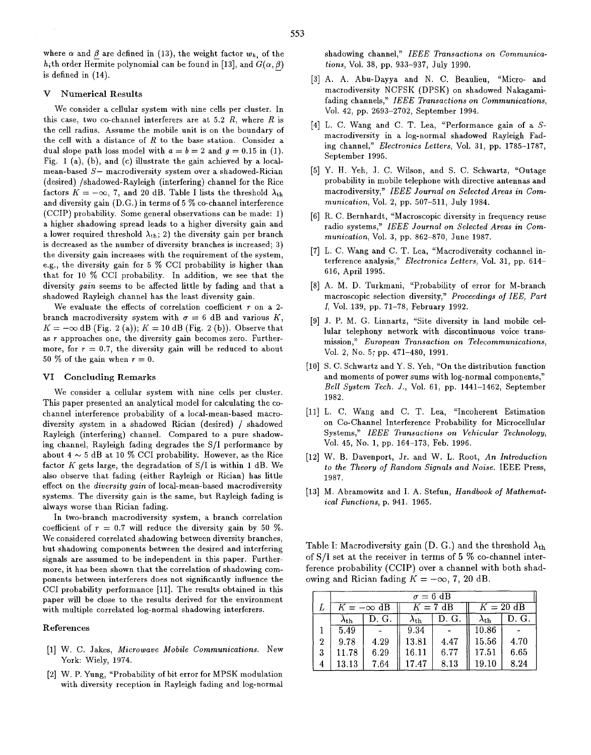where  $\alpha$  and  $\beta$  are defined in (13), the weight factor  $w_{k_i}$  of the h<sub>i</sub>th order Hermite polynomial can be found in [13], and  $G(\alpha, \beta)$ is defined in (14).

### **V** Numerical Results

We consider a cellular system with nine cells per cluster. In this case, two co-channel interferers are at 5.2  $R$ , where  $R$  is the cell radius. Assume the mobile unit is on the boundary of the cell with a distance of  $R$  to the base station. Consider a dual slope path loss model with  $a = b = 2$  and  $q = 0.15$  in (1). Fig. 1 (a), (b), and (c) illustrate the gain achieved by a localmean-based *S-* macrodiversity system over a shadowed-Rician (desired) /shadowed-Rayleigh (interfering) channel for the Rice factors  $K = -\infty$ , 7, and 20 dB. Table I lists the threshold  $\lambda_{\text{th}}$ and diversity gain (D.G.) in terms of 5 % co-channel interference (CCIP) probability. Some general observations can be made: 1) a higher shadowing spread leads to a higher diversity gain and a lower required threshold  $\lambda_{th}$ ; 2) the diversity gain per branch is decreased as the number of diversity branches is increased; 3) the diversity gain increases with the requirement of the system, e.g., the diversity gain for 5 % CCI probability is higher than that for 10 % CCI probability. In addition, we see that the diversity *gain* seems to be affected little by fading and that a shadowed Rayleigh channel has the least diversity gain.

We evaluate the effects of correlation coefficient *r* on a 2 branch macrodiversity system with  $\sigma = 6$  dB and various *K*,  $K = -\infty$  dB (Fig. 2 (a));  $K = 10$  dB (Fig. 2 (b)). Observe that as *r* approaches one, the diversity gain becomes zero. Furthermore, for  $r = 0.7$ , the diversity gain will be reduced to about 50  $%$  of the gain when  $r = 0$ .

#### **VI** Concluding Remarks

We consider a cellular system with nine cells per cluster. This paper presented an analytical model for calculating the cochannel interference probability of a local-mean-based macrodiversity system in a shadowed Rician (desired) / shadowed Rayleigh (interfering) channel. Compared to a pure shadowing channel, Rayleigh fading degrades the S/I performance by about  $4 \sim 5$  dB at 10  $\%$  CCI probability. However, as the Rice factor *K* gets large, the degradation of S/I is within 1 dB. We also observe that fading (either Rayleigh or Rician) has little effect on the *diversity gain* of local-mean-based macrodiversity systems. The diversity gain is the same, but Rayleigh fading is always worse than Rician fading.

In two-branch macrodiversity system, a branch correlation coefficient of  $r = 0.7$  will reduce the diversity gain by 50 %. We considered correlated shadowing between diversity branches, but shadowing components between the desired and interfering signals are assumed to be independent in this paper. Furthermore, it has been shown that the correlation of shadowing components between interferers does not significantly influence the CCI probability performance [11]. The results obtained in this paper will be close to the results derived for the environment with multiple correlated log-normal shadowing interferers.

## References

- [l] W. C. Jakes, *Microwave Mobile Communications.*  New York: Wiely, 1974.
- [2] W. P. Yung, "Probability of bit error for MPSK modulation with diversity reception in Rayleigh fading and log-normal

shadowing channel," *IEEE Transactions on Communications, Vol. 38, pp. 933-937, July 1990.* 

- [3] A. A. Abu-Dayya and N. C. Beaulieu, "Micro- and macrodiversity NCFSK (DPSK) on shadowed Nakagamifading channels," *IEEE Transactions on Communications,*  Vol. 42, pp. 2693-2702, September 1994.
- [4] L. C. Wang and C. T. Lea, "Performance gain of a Smacrodiversity in a log-normal shadowed Rayleigh Fading channel," *Electronics Letters,* Vol. 31, pp. 1785-1787, September 1995.
- [5] Y. H. Yeh, J. C. Wilson, and S. C. Schwartz, "Outage probability in mobile telephone with directive antennas and macrodiversity," *IEEE Journal on Selected Areas in Cornmunication,* Vol. 2, pp. 507-511, July 1984.
- [6] R. C. Bernhardt, "Macroscopic diversity in frequency reuse radio systems," *IEEE Journal on Selected Areas in Communication,* Vol. 3, pp. 862-870, June 1987.
- [7] L. C. Wang and C. T. Lea, "Macrodiversity cochannel interference analysis," *Electronics Letters,* Vol. 31, pp. 614- 616, April 1995.
- [8] A. M. D. Turkmani, "Probability of error for M-branch macroscopic selection diversity," *Proceedings of IEE, Part I,* Vol. 139, pp. 71-78, February 1992.
- [9] J. P. M. G. Linnartz, "Site diversity in land mobile cellular telephony network with discontinuous voice transmission," *European Transaction on Telecommunications,*  Vol. 2, NO. 5; pp. 471-480, 1991.
- [10] S. C. Schwartz and Y. S. Yeh, "On the distribution function and moments of power sums with log-normal components," *Bell System Tech. J.,* Vol. 61, pp. 1441-1462, September 1982.
- [I11 L. C. Wang and C. T. Lea, "Incoherent Estimation on Co-Channel Interference Probability for Microcellular Systems," *IEEE Transactions on Vehicular Technology,*  Vol. 45, No. 1, pp. 164-173, Feb. 1996.
- [la] W. B. Davenport, **\*Jr.** and W. L. Root, *An Introduction to the Theory of Random Signals and Noise.* IEEE Press, 1987.
- [13] M. Abramowitz and I. A. Stefun, *Handbook of Mathematical Functions,* p. 941. 1965.

Table I: Macrodiversity gain (D. G.) and the threshold  $\lambda_{\text{th}}$ of S/I set at the receiver in terms of 5 % co-channel interference probability (CCIP) over a channel with both shadowing and Rician fading  $K = -\infty$ , 7, 20 dB.

|   | $\sigma = 6 \text{ dB}$ |       |                    |       |                    |       |
|---|-------------------------|-------|--------------------|-------|--------------------|-------|
|   | $K = -\infty$ dB        |       | $K=7$ dB           |       | $K = 20$ dB        |       |
|   | $\lambda_{\rm th}$      | D. G. | $\lambda_{\rm th}$ | D. G. | $\lambda_{\rm th}$ | D. G. |
|   | 5.49                    |       | 9.34               |       | 10.86              |       |
| 2 | 9.78                    | 4.29  | 13.81              | 4.47  | 15.56              | 4.70  |
| 3 | 11.78                   | 6.29  | 16.11              | 6.77  | 17.51              | 6.65  |
| 4 | 13.13                   | 7.64  | 17.47              | 8.13  | 19.10              | 8.24  |